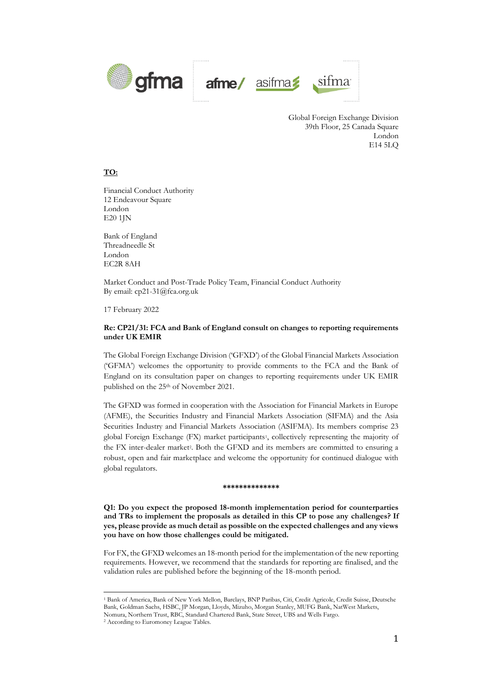

Global Foreign Exchange Division 39th Floor, 25 Canada Square London E14 5LQ

# **TO:**

Financial Conduct Authority 12 Endeavour Square London E20 1JN

Bank of England Threadneedle St London EC2R 8AH

Market Conduct and Post-Trade Policy Team, Financial Conduct Authority By email: cp21-31@fca.org.uk

17 February 2022

## **Re: CP21/31: FCA and Bank of England consult on changes to reporting requirements under UK EMIR**

The Global Foreign Exchange Division ('GFXD') of the Global Financial Markets Association ('GFMA') welcomes the opportunity to provide comments to the FCA and the Bank of England on its consultation paper on changes to reporting requirements under UK EMIR published on the 25th of November 2021.

The GFXD was formed in cooperation with the Association for Financial Markets in Europe (AFME), the Securities Industry and Financial Markets Association (SIFMA) and the Asia Securities Industry and Financial Markets Association (ASIFMA). Its members comprise 23 global Foreign Exchange (FX) market participants<sup>1</sup>, collectively representing the majority of the FX inter-dealer market<sup>2</sup>. Both the GFXD and its members are committed to ensuring a robust, open and fair marketplace and welcome the opportunity for continued dialogue with global regulators.

#### **\*\*\*\*\*\*\*\*\*\*\*\*\*\***

**Q1: Do you expect the proposed 18-month implementation period for counterparties and TRs to implement the proposals as detailed in this CP to pose any challenges? If yes, please provide as much detail as possible on the expected challenges and any views you have on how those challenges could be mitigated.**

For FX, the GFXD welcomes an 18-month period for the implementation of the new reporting requirements. However, we recommend that the standards for reporting are finalised, and the validation rules are published before the beginning of the 18-month period.

<sup>1</sup> Bank of America, Bank of New York Mellon, Barclays, BNP Paribas, Citi, Credit Agricole, Credit Suisse, Deutsche Bank, Goldman Sachs, HSBC, JP Morgan, Lloyds, Mizuho, Morgan Stanley, MUFG Bank, NatWest Markets,

Nomura, Northern Trust, RBC, Standard Chartered Bank, State Street, UBS and Wells Fargo.

<sup>2</sup> According to Euromoney League Tables.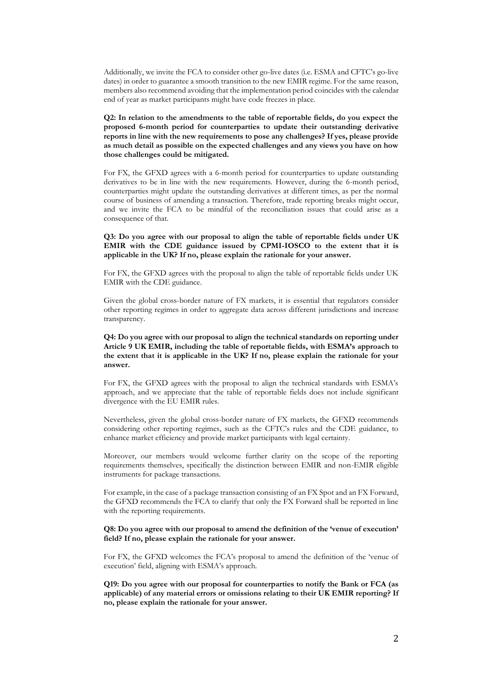Additionally, we invite the FCA to consider other go-live dates (i.e. ESMA and CFTC's go-live dates) in order to guarantee a smooth transition to the new EMIR regime. For the same reason, members also recommend avoiding that the implementation period coincides with the calendar end of year as market participants might have code freezes in place.

## **Q2: In relation to the amendments to the table of reportable fields, do you expect the proposed 6-month period for counterparties to update their outstanding derivative reports in line with the new requirements to pose any challenges? If yes, please provide as much detail as possible on the expected challenges and any views you have on how those challenges could be mitigated.**

For FX, the GFXD agrees with a 6-month period for counterparties to update outstanding derivatives to be in line with the new requirements. However, during the 6-month period, counterparties might update the outstanding derivatives at different times, as per the normal course of business of amending a transaction. Therefore, trade reporting breaks might occur, and we invite the FCA to be mindful of the reconciliation issues that could arise as a consequence of that.

## **Q3: Do you agree with our proposal to align the table of reportable fields under UK EMIR with the CDE guidance issued by CPMI-IOSCO to the extent that it is applicable in the UK? If no, please explain the rationale for your answer.**

For FX, the GFXD agrees with the proposal to align the table of reportable fields under UK EMIR with the CDE guidance.

Given the global cross-border nature of FX markets, it is essential that regulators consider other reporting regimes in order to aggregate data across different jurisdictions and increase transparency.

## **Q4: Do you agree with our proposal to align the technical standards on reporting under Article 9 UK EMIR, including the table of reportable fields, with ESMA's approach to the extent that it is applicable in the UK? If no, please explain the rationale for your answer.**

For FX, the GFXD agrees with the proposal to align the technical standards with ESMA's approach, and we appreciate that the table of reportable fields does not include significant divergence with the EU EMIR rules.

Nevertheless, given the global cross-border nature of FX markets, the GFXD recommends considering other reporting regimes, such as the CFTC's rules and the CDE guidance, to enhance market efficiency and provide market participants with legal certainty.

Moreover, our members would welcome further clarity on the scope of the reporting requirements themselves, specifically the distinction between EMIR and non-EMIR eligible instruments for package transactions.

For example, in the case of a package transaction consisting of an FX Spot and an FX Forward, the GFXD recommends the FCA to clarify that only the FX Forward shall be reported in line with the reporting requirements.

## **Q8: Do you agree with our proposal to amend the definition of the 'venue of execution' field? If no, please explain the rationale for your answer.**

For FX, the GFXD welcomes the FCA's proposal to amend the definition of the 'venue of execution' field, aligning with ESMA's approach.

**Q19: Do you agree with our proposal for counterparties to notify the Bank or FCA (as applicable) of any material errors or omissions relating to their UK EMIR reporting? If no, please explain the rationale for your answer.**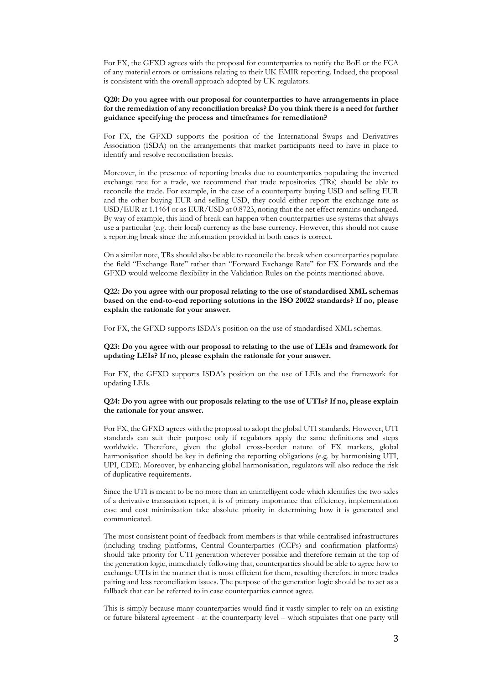For FX, the GFXD agrees with the proposal for counterparties to notify the BoE or the FCA of any material errors or omissions relating to their UK EMIR reporting. Indeed, the proposal is consistent with the overall approach adopted by UK regulators.

## **Q20: Do you agree with our proposal for counterparties to have arrangements in place for the remediation of any reconciliation breaks? Do you think there is a need for further guidance specifying the process and timeframes for remediation?**

For FX, the GFXD supports the position of the International Swaps and Derivatives Association (ISDA) on the arrangements that market participants need to have in place to identify and resolve reconciliation breaks.

Moreover, in the presence of reporting breaks due to counterparties populating the inverted exchange rate for a trade, we recommend that trade repositories (TRs) should be able to reconcile the trade. For example, in the case of a counterparty buying USD and selling EUR and the other buying EUR and selling USD, they could either report the exchange rate as USD/EUR at 1.1464 or as EUR/USD at 0.8723, noting that the net effect remains unchanged. By way of example, this kind of break can happen when counterparties use systems that always use a particular (e.g. their local) currency as the base currency. However, this should not cause a reporting break since the information provided in both cases is correct.

On a similar note, TRs should also be able to reconcile the break when counterparties populate the field "Exchange Rate" rather than "Forward Exchange Rate" for FX Forwards and the GFXD would welcome flexibility in the Validation Rules on the points mentioned above.

**Q22: Do you agree with our proposal relating to the use of standardised XML schemas based on the end-to-end reporting solutions in the ISO 20022 standards? If no, please explain the rationale for your answer.**

For FX, the GFXD supports ISDA's position on the use of standardised XML schemas.

## **Q23: Do you agree with our proposal to relating to the use of LEIs and framework for updating LEIs? If no, please explain the rationale for your answer.**

For FX, the GFXD supports ISDA's position on the use of LEIs and the framework for updating LEIs.

#### **Q24: Do you agree with our proposals relating to the use of UTIs? If no, please explain the rationale for your answer.**

For FX, the GFXD agrees with the proposal to adopt the global UTI standards. However, UTI standards can suit their purpose only if regulators apply the same definitions and steps worldwide. Therefore, given the global cross-border nature of FX markets, global harmonisation should be key in defining the reporting obligations (e.g. by harmonising UTI, UPI, CDE). Moreover, by enhancing global harmonisation, regulators will also reduce the risk of duplicative requirements.

Since the UTI is meant to be no more than an unintelligent code which identifies the two sides of a derivative transaction report, it is of primary importance that efficiency, implementation ease and cost minimisation take absolute priority in determining how it is generated and communicated.

The most consistent point of feedback from members is that while centralised infrastructures (including trading platforms, Central Counterparties (CCPs) and confirmation platforms) should take priority for UTI generation wherever possible and therefore remain at the top of the generation logic, immediately following that, counterparties should be able to agree how to exchange UTIs in the manner that is most efficient for them, resulting therefore in more trades pairing and less reconciliation issues. The purpose of the generation logic should be to act as a fallback that can be referred to in case counterparties cannot agree.

This is simply because many counterparties would find it vastly simpler to rely on an existing or future bilateral agreement - at the counterparty level – which stipulates that one party will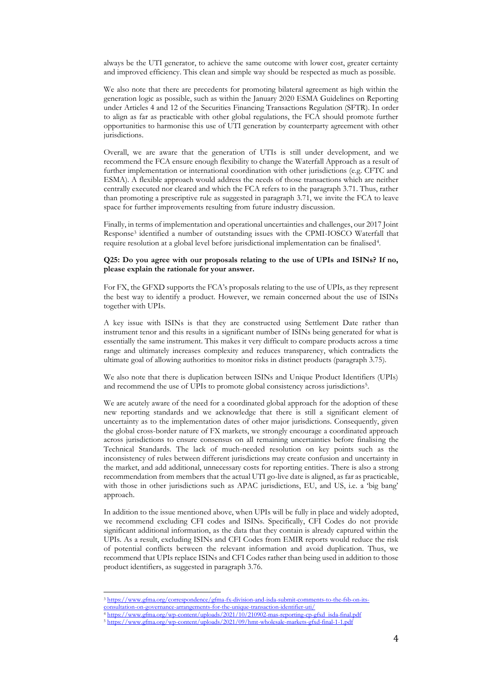always be the UTI generator, to achieve the same outcome with lower cost, greater certainty and improved efficiency. This clean and simple way should be respected as much as possible.

We also note that there are precedents for promoting bilateral agreement as high within the generation logic as possible, such as within the January 2020 ESMA Guidelines on Reporting under Articles 4 and 12 of the Securities Financing Transactions Regulation (SFTR). In order to align as far as practicable with other global regulations, the FCA should promote further opportunities to harmonise this use of UTI generation by counterparty agreement with other jurisdictions.

Overall, we are aware that the generation of UTIs is still under development, and we recommend the FCA ensure enough flexibility to change the Waterfall Approach as a result of further implementation or international coordination with other jurisdictions (e.g. CFTC and ESMA). A flexible approach would address the needs of those transactions which are neither centrally executed nor cleared and which the FCA refers to in the paragraph 3.71. Thus, rather than promoting a prescriptive rule as suggested in paragraph 3.71, we invite the FCA to leave space for further improvements resulting from future industry discussion.

Finally, in terms of implementation and operational uncertainties and challenges, our 2017 Joint Response<sup>3</sup> identified a number of outstanding issues with the CPMI-IOSCO Waterfall that require resolution at a global level before jurisdictional implementation can be finalised<sup>4</sup>.

### **Q25: Do you agree with our proposals relating to the use of UPIs and ISINs? If no, please explain the rationale for your answer.**

For FX, the GFXD supports the FCA's proposals relating to the use of UPIs, as they represent the best way to identify a product. However, we remain concerned about the use of ISINs together with UPIs.

A key issue with ISINs is that they are constructed using Settlement Date rather than instrument tenor and this results in a significant number of ISINs being generated for what is essentially the same instrument. This makes it very difficult to compare products across a time range and ultimately increases complexity and reduces transparency, which contradicts the ultimate goal of allowing authorities to monitor risks in distinct products (paragraph 3.75).

We also note that there is duplication between ISINs and Unique Product Identifiers (UPIs) and recommend the use of UPIs to promote global consistency across jurisdictions<sup>5</sup>.

We are acutely aware of the need for a coordinated global approach for the adoption of these new reporting standards and we acknowledge that there is still a significant element of uncertainty as to the implementation dates of other major jurisdictions. Consequently, given the global cross-border nature of FX markets, we strongly encourage a coordinated approach across jurisdictions to ensure consensus on all remaining uncertainties before finalising the Technical Standards. The lack of much-needed resolution on key points such as the inconsistency of rules between different jurisdictions may create confusion and uncertainty in the market, and add additional, unnecessary costs for reporting entities. There is also a strong recommendation from members that the actual UTI go-live date is aligned, as far as practicable, with those in other jurisdictions such as APAC jurisdictions, EU, and US, i.e. a 'big bang' approach.

In addition to the issue mentioned above, when UPIs will be fully in place and widely adopted, we recommend excluding CFI codes and ISINs. Specifically, CFI Codes do not provide significant additional information, as the data that they contain is already captured within the UPIs. As a result, excluding ISINs and CFI Codes from EMIR reports would reduce the risk of potential conflicts between the relevant information and avoid duplication. Thus, we recommend that UPIs replace ISINs and CFI Codes rather than being used in addition to those product identifiers, as suggested in paragraph 3.76.

<sup>3</sup> [https://www.gfma.org/correspondence/gfma-fx-division-and-isda-submit-comments-to-the-fsb-on-its-](https://www.gfma.org/correspondence/gfma-fx-division-and-isda-submit-comments-to-the-fsb-on-its-consultation-on-governance-arrangements-for-the-unique-transaction-identifier-uti/)

[consultation-on-governance-arrangements-for-the-unique-transaction-identifier-uti/](https://www.gfma.org/correspondence/gfma-fx-division-and-isda-submit-comments-to-the-fsb-on-its-consultation-on-governance-arrangements-for-the-unique-transaction-identifier-uti/) <sup>4</sup> [https://www.gfma.org/wp-content/uploads/2021/10/210902-mas-reporting-cp-gfxd\\_isda-final.pdf](https://www.gfma.org/wp-content/uploads/2021/10/210902-mas-reporting-cp-gfxd_isda-final.pdf)

<sup>5</sup> <https://www.gfma.org/wp-content/uploads/2021/09/hmt-wholesale-markets-gfxd-final-1-1.pdf>